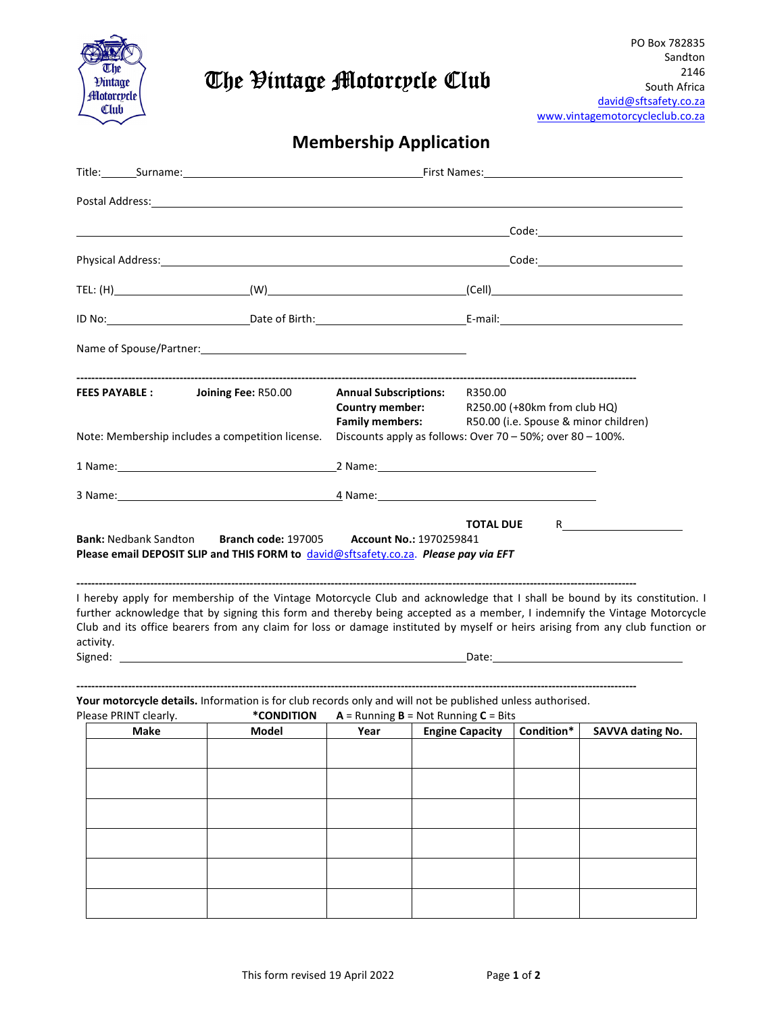

## The Vintage Motorcycle Club

## Membership Application

| <b>FEES PAYABLE :</b>                            | <b>Annual Subscriptions:</b><br><b>Country member:</b><br><b>Family members:</b>                                                                                                                                                                                                                                                                                                       |                                                      | R350.00<br>R250.00 (+80km from club HQ)<br>R50.00 (i.e. Spouse & minor children) |  |                                   |                         |  |
|--------------------------------------------------|----------------------------------------------------------------------------------------------------------------------------------------------------------------------------------------------------------------------------------------------------------------------------------------------------------------------------------------------------------------------------------------|------------------------------------------------------|----------------------------------------------------------------------------------|--|-----------------------------------|-------------------------|--|
| Note: Membership includes a competition license. | Discounts apply as follows: Over 70 - 50%; over 80 - 100%.                                                                                                                                                                                                                                                                                                                             |                                                      |                                                                                  |  |                                   |                         |  |
|                                                  |                                                                                                                                                                                                                                                                                                                                                                                        |                                                      |                                                                                  |  |                                   |                         |  |
|                                                  |                                                                                                                                                                                                                                                                                                                                                                                        |                                                      |                                                                                  |  |                                   |                         |  |
| activity.                                        | I hereby apply for membership of the Vintage Motorcycle Club and acknowledge that I shall be bound by its constitution. I<br>further acknowledge that by signing this form and thereby being accepted as a member, I indemnify the Vintage Motorcycle<br>Club and its office bearers from any claim for loss or damage instituted by myself or heirs arising from any club function or |                                                      |                                                                                  |  |                                   |                         |  |
|                                                  |                                                                                                                                                                                                                                                                                                                                                                                        |                                                      |                                                                                  |  |                                   |                         |  |
| Please PRINT clearly.                            | Your motorcycle details. Information is for club records only and will not be published unless authorised.<br>*CONDITION                                                                                                                                                                                                                                                               | $A =$ Running <b>B</b> = Not Running <b>C</b> = Bits |                                                                                  |  |                                   |                         |  |
| Make                                             | Model                                                                                                                                                                                                                                                                                                                                                                                  |                                                      |                                                                                  |  | Year Engine Capacity   Condition* | <b>SAVVA dating No.</b> |  |
|                                                  |                                                                                                                                                                                                                                                                                                                                                                                        |                                                      |                                                                                  |  |                                   |                         |  |
|                                                  |                                                                                                                                                                                                                                                                                                                                                                                        |                                                      |                                                                                  |  |                                   |                         |  |
|                                                  |                                                                                                                                                                                                                                                                                                                                                                                        |                                                      |                                                                                  |  |                                   |                         |  |
|                                                  |                                                                                                                                                                                                                                                                                                                                                                                        |                                                      |                                                                                  |  |                                   |                         |  |
|                                                  |                                                                                                                                                                                                                                                                                                                                                                                        |                                                      |                                                                                  |  |                                   |                         |  |
|                                                  |                                                                                                                                                                                                                                                                                                                                                                                        |                                                      |                                                                                  |  |                                   |                         |  |
|                                                  |                                                                                                                                                                                                                                                                                                                                                                                        |                                                      |                                                                                  |  |                                   |                         |  |